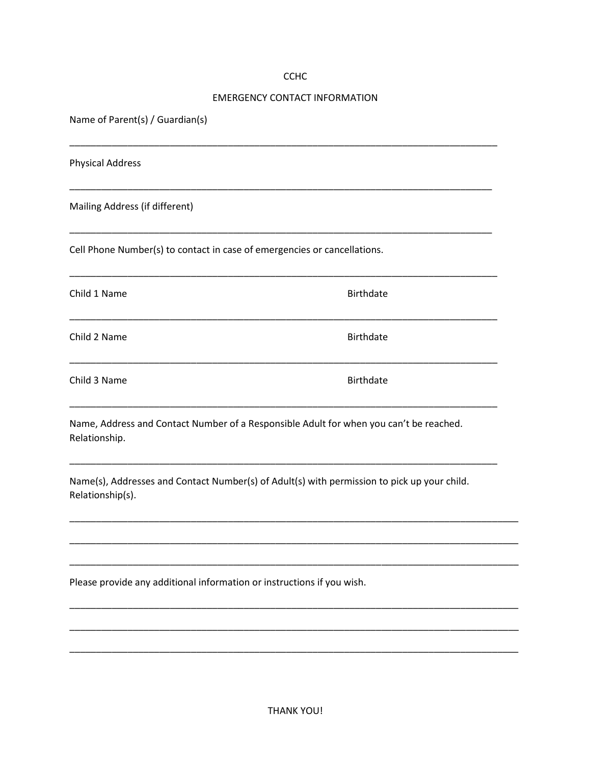## **CCHC**

## **EMERGENCY CONTACT INFORMATION**

**Birthdate** 

**Birthdate** 

**Birthdate** 

Name of Parent(s) / Guardian(s)

**Physical Address** 

Mailing Address (if different)

Cell Phone Number(s) to contact in case of emergencies or cancellations.

Child 1 Name

Child 2 Name

Child 3 Name

Name, Address and Contact Number of a Responsible Adult for when you can't be reached. Relationship.

Name(s), Addresses and Contact Number(s) of Adult(s) with permission to pick up your child. Relationship(s).

Please provide any additional information or instructions if you wish.

**THANK YOU!**